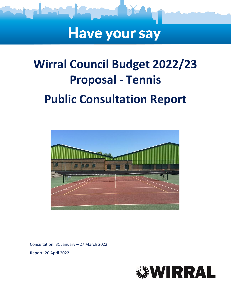

# **Have your say**

# **Wirral Council Budget 2022/23 Proposal - Tennis Public Consultation Report**



Consultation: 31 January – 27 March 2022 Report: 20 April 2022

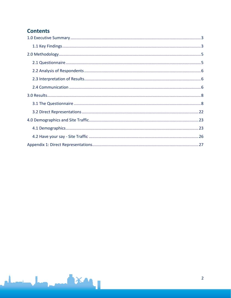## **Contents**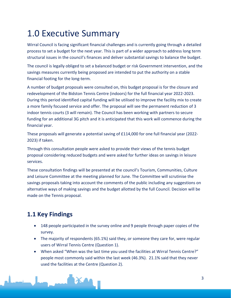## <span id="page-2-0"></span>1.0 Executive Summary

Wirral Council is facing significant financial challenges and is currently going through a detailed process to set a budget for the next year. This is part of a wider approach to address long term structural issues in the council's finances and deliver substantial savings to balance the budget.

The council is legally obliged to set a balanced budget or risk Government intervention, and the savings measures currently being proposed are intended to put the authority on a stable financial footing for the long-term.

A number of budget proposals were consulted on, this budget proposal is for the closure and redevelopment of the Bidston Tennis Centre (indoors) for the full financial year 2022-2023. During this period identified capital funding will be utilised to improve the facility mix to create a more family focused service and offer. The proposal will see the permanent reduction of 3 indoor tennis courts (3 will remain). The Council has been working with partners to secure funding for an additional 3G pitch and it is anticipated that this work will commence during the financial year.

These proposals will generate a potential saving of £114,000 for one full financial year (2022- 2023) if taken.

Through this consultation people were asked to provide their views of the tennis budget proposal considering reduced budgets and were asked for further ideas on savings in leisure services.

These consultation findings will be presented at the council's Tourism, Communities, Culture and Leisure Committee at the meeting planned for June. The Committee will scrutinise the savings proposals taking into account the comments of the public including any suggestions on alternative ways of making savings and the budget allotted by the full Council. Decision will be made on the Tennis proposal.

## <span id="page-2-1"></span>**1.1 Key Findings**

- 148 people participated in the survey online and 9 people through paper copies of the survey.
- The majority of respondents (65.1%) said they, or someone they care for, were regular users of Wirral Tennis Centre (Question 1).
- When asked "When was the last time you used the facilities at Wirral Tennis Centre?" people most commonly said within the last week (46.3%). 21.1% said that they never used the facilities at the Centre (Question 2).

3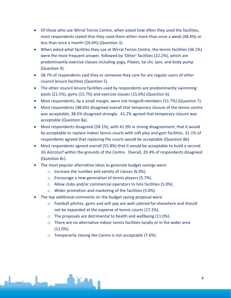- Of those who use Wirral Tennis Centre, when asked how often they used the facilities, most respondents stated that they used them either more than once a week (48.4%) or less than once a month (26.6%) (Question 3).
- When asked what facilities they use at Wirral Tennis Centre, the tennis facilities (36.1%) were the most frequent answer, followed by 'Other' facilities (22.2%), which are predominantly exercise classes including yoga, Pilates, tai chi, spin, and body pump (Question 4).
- 58.7% of respondents said they or someone they care for are regular users of other council leisure facilities (Question 5).
- The other council leisure facilities used by respondents are predominantly swimming pools (21.5%), gyms (15.7%) and exercise classes (15.0%) (Question 6).
- Most respondents, by a small margin, were not Invigor8 members (51.7%) (Question 7).
- Most respondents (48.6%) disagreed overall that temporary closure of the tennis centre was acceptable, 38.5% disagreed strongly. 41.2% agreed that temporary closure was acceptable (Question 8a).
- Most respondents disagreed (58.1%), with 41.9% in strong disagreement, that it would be acceptable to replace indoor tennis courts with soft play and gym facilities. 31.1% of respondents agreed that replacing the courts would be acceptable (Question 8b).
- Most respondents agreed overall (55.8%) that it would be acceptable to build a second 3G Astroturf within the grounds of the Centre. Overall, 20.4% of respondents disagreed (Question 8c).
- The most popular alternative ideas to generate budget savings were:
	- o Increase the number and variety of classes (6.9%).
	- o Encourage a new generation of tennis players (5.7%).
	- o Allow clubs and/or commercial operators to hire facilities (5.0%).
	- o Wider promotion and marketing of the facilities (5.0%).
- The top additional comments on the budget saving proposal were:
	- $\circ$  Football pitches, gyms and soft pay are well catered for elsewhere and should not be expanded at the expense of tennis courts (17.2%).
	- o The proposals are detrimental to health and wellbeing (11.0%).
	- $\circ$  There are no alternative indoor tennis facilities locally or in the wider area  $(11.0\%)$ .
	- o Temporarily closing the Centre is not acceptable (7.6%).

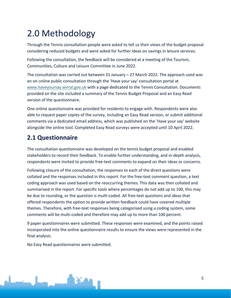## <span id="page-4-0"></span>2.0 Methodology

Through the Tennis consultation people were asked to tell us their views of the budget proposal considering reduced budgets and were asked for further ideas on savings in leisure services.

Following the consultation, the feedback will be considered at a meeting of the Tourism, Communities, Culture and Leisure Committee in June 2022.

The consultation was carried out between 31 January – 27 March 2022. The approach used was an on online public consultation through the 'Have your say' consultation portal at [www.haveyoursay.wirral.gov.uk](https://wirralcouncil.sharepoint.com/sites/Team-0401/Shared%20Documents/General/2020%20EngagementHQ/Budget/www.haveyoursay.wirral.gov.uk) with a page dedicated to the Tennis Consultation. Documents provided on the site included a summary of the Tennis Budget Proposal and an Easy Read version of the questionnaire.

One online questionnaire was provided for residents to engage with. Respondents were also able to request paper copies of the survey, including an Easy Read version, or submit additional comments via a dedicated email address, which was published on the 'Have your say' website alongside the online tool. Completed Easy Read surveys were accepted until 10 April 2022.

## <span id="page-4-1"></span>**2.1 Questionnaire**

The consultation questionnaire was developed on the tennis budget proposal and enabled stakeholders to record their feedback. To enable further understanding, and in-depth analysis, respondents were invited to provide free-text comments to expand on their ideas or concerns.

Following closure of the consultation, the responses to each of the direct questions were collated and the responses included in this report. For the free-text comment question, a text coding approach was used based on the reoccurring themes. This data was then collated and summarised in the report. For specific tools where percentages do not add up to 100, this may be due to rounding, or the question is multi-coded. All free-text questions and ideas that offered respondents the option to provide written feedback could have covered multiple themes. Therefore, with free-text responses being categorised using a coding system, some comments will be multi-coded and therefore may add up to more than 100 percent.

9 paper questionnaires were submitted*.* These responses were examined, and the points raised incorporated into the online questionnaire results to ensure the views were represented in the final analysis.

No Easy Read questionnaires were submitted.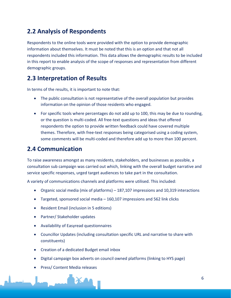## <span id="page-5-0"></span>**2.2 Analysis of Respondents**

Respondents to the online tools were provided with the option to provide demographic information about themselves. It must be noted that this is an option and that not all respondents included this information. This data allows the demographic results to be included in this report to enable analysis of the scope of responses and representation from different demographic groups.

### <span id="page-5-1"></span>**2.3 Interpretation of Results**

In terms of the results, it is important to note that:

- The public consultation is not representative of the overall population but provides information on the opinion of those residents who engaged.
- For specific tools where percentages do not add up to 100, this may be due to rounding, or the question is multi-coded. All free-text questions and ideas that offered respondents the option to provide written feedback could have covered multiple themes. Therefore, with free-text responses being categorised using a coding system, some comments will be multi-coded and therefore add up to more than 100 percent.

### <span id="page-5-2"></span>**2.4 Communication**

To raise awareness amongst as many residents, stakeholders, and businesses as possible, a consultation sub campaign was carried out which, linking with the overall budget narrative and service specific responses, urged target audiences to take part in the consultation.

A variety of communications channels and platforms were utilised. This included:

- Organic social media (mix of platforms) 187,107 impressions and 10,319 interactions
- Targeted, sponsored social media 160,107 impressions and 562 link clicks
- Resident Email (inclusion in 5 editions)
- Partner/ Stakeholder updates
- Availability of Easyread questionnaires
- Councillor Updates (including consultation specific URL and narrative to share with constituents)
- Creation of a dedicated Budget email inbox
- Digital campaign box adverts on council owned platforms (linking to HYS page)
- Press/ Content Media releases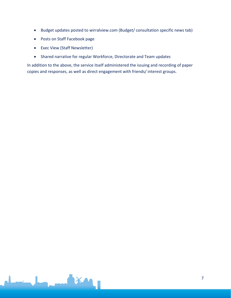- Budget updates posted to wirralview.com (Budget/ consultation specific news tab)
- Posts on Staff Facebook page
- Exec View (Staff Newsletter)
- Shared narrative for regular Workforce, Directorate and Team updates

In addition to the above, the service itself administered the issuing and recording of paper copies and responses, as well as direct engagement with friends/ interest groups.

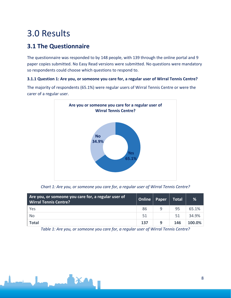## <span id="page-7-0"></span>3.0 Results

## <span id="page-7-1"></span>**3.1 The Questionnaire**

The questionnaire was responded to by 148 people, with 139 through the online portal and 9 paper copies submitted. No Easy Read versions were submitted. No questions were mandatory so respondents could choose which questions to respond to.

#### **3.1.1 Question 1: Are you, or someone you care for, a regular user of Wirral Tennis Centre?**

**Yes 65.1% No 34.9% Are you or someone you care for a regular user of Wirral Tennis Centre?**

The majority of respondents (65.1%) were regular users of Wirral Tennis Centre or were the carer of a regular user.

*Chart 1: Are you, or someone you care for, a regular user of Wirral Tennis Centre?*

| Are you, or someone you care for, a regular user of<br><b>Wirral Tennis Centre?</b> | Online | Paper | <b>Total</b> | %             |
|-------------------------------------------------------------------------------------|--------|-------|--------------|---------------|
| Yes                                                                                 | 86     |       | 95           | 65.1%         |
| No                                                                                  | 51     |       | 51           | 34.9%         |
| <b>Total</b>                                                                        | 137    |       | 146          | <b>100.0%</b> |

*Table 1: Are you, or someone you care for, a regular user of Wirral Tennis Centre?*

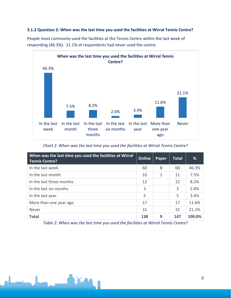#### **3.1.2 Question 2: When was the last time you used the facilities at Wirral Tennis Centre?**



People most commonly used the facilities at the Tennis Centre within the last week of responding (46.3%). 21.1% of respondents had never used the centre.

*Chart 2: When was the last time you used the facilities at Wirral Tennis Centre?*

| When was the last time you used the facilities at Wirral<br><b>Tennis Centre?</b> | Online | Paper        | <b>Total</b> | %      |
|-----------------------------------------------------------------------------------|--------|--------------|--------------|--------|
| In the last week                                                                  | 60     | 8            | 68           | 46.3%  |
| In the last month                                                                 | 10     | $\mathbf{1}$ | 11           | 7.5%   |
| In the last three months                                                          | 12     |              | 12           | 8.2%   |
| In the last six months                                                            | 3      |              | 3            | 2.0%   |
| In the last year                                                                  | 5      |              | 5            | 3.4%   |
| More than one year ago                                                            | 17     |              | 17           | 11.6%  |
| <b>Never</b>                                                                      | 31     |              | 31           | 21.1%  |
| <b>Total</b>                                                                      | 138    | 9            | 147          | 100.0% |

*Table 2: When was the last time you used the facilities at Wirral Tennis Centre?*

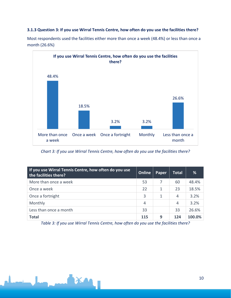#### **3.1.3 Question 3: If you use Wirral Tennis Centre, how often do you use the facilities there?**



Most respondents used the facilities either more than once a week (48.4%) or less than once a month (26.6%)

*Chart 3: If you use Wirral Tennis Centre, how often do you use the facilities there?*

| If you use Wirral Tennis Centre, how often do you use<br>the facilities there? | Online     | Paper | <b>Total</b> | %      |
|--------------------------------------------------------------------------------|------------|-------|--------------|--------|
| More than once a week                                                          | 53         |       | 60           | 48.4%  |
| Once a week                                                                    | 22         | 1     | 23           | 18.5%  |
| Once a fortnight                                                               | 3          | 1     | 4            | 3.2%   |
| Monthly                                                                        | 4          |       | 4            | 3.2%   |
| Less than once a month                                                         | 33         |       | 33           | 26.6%  |
| <b>Total</b>                                                                   | <b>115</b> | 9     | 124          | 100.0% |

*Table 3: If you use Wirral Tennis Centre, how often do you use the facilities there?*

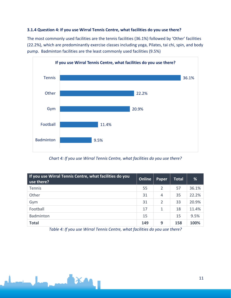#### **3.1.4 Question 4: If you use Wirral Tennis Centre, what facilities do you use there?**

The most commonly used facilities are the tennis facilities (36.1%) followed by 'Other' facilities (22.2%), which are predominantly exercise classes including yoga, Pilates, tai chi, spin, and body pump. Badminton facilities are the least commonly used facilities (9.5%)



*Chart 4: If you use Wirral Tennis Centre, what facilities do you use there?*

| If you use Wirral Tennis Centre, what facilities do you<br>use there? | Online | Paper          | <b>Total</b> | %     |
|-----------------------------------------------------------------------|--------|----------------|--------------|-------|
| Tennis                                                                | 55     | 2              | 57           | 36.1% |
| Other                                                                 | 31     | 4              | 35           | 22.2% |
| Gym                                                                   | 31     | $\overline{2}$ | 33           | 20.9% |
| Football                                                              | 17     | 1              | 18           | 11.4% |
| Badminton                                                             | 15     |                | 15           | 9.5%  |
| <b>Total</b>                                                          | 149    | 9              | 158          | 100%  |

*Table 4: If you use Wirral Tennis Centre, what facilities do you use there?*

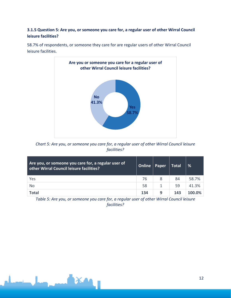#### **3.1.5 Question 5: Are you, or someone you care for, a regular user of other Wirral Council leisure facilities?**



58.7% of respondents, or someone they care for are regular users of other Wirral Council leisure facilities.

*Chart 5: Are you, or someone you care for, a regular user of other Wirral Council leisure facilities?*

| Are you, or someone you care for, a regular user of<br>other Wirral Council leisure facilities? | Online | Paper | <b>Total</b> | %      |
|-------------------------------------------------------------------------------------------------|--------|-------|--------------|--------|
| Yes                                                                                             | 76     | 8     | 84           | 58.7%  |
| <b>No</b>                                                                                       | 58     |       | 59           | 41.3%  |
| <b>Total</b>                                                                                    | 134    | 9     | 143          | 100.0% |

*Table 5: Are you, or someone you care for, a regular user of other Wirral Council leisure facilities?*

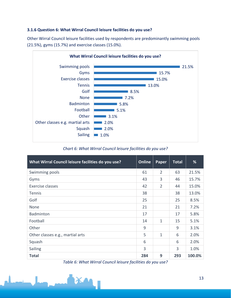#### **3.1.6 Question 6: What Wirral Council leisure facilities do you use?**

Other Wirral Council leisure facilities used by respondents are predominantly swimming pools (21.5%), gyms (15.7%) and exercise classes (15.0%).



*Chart 6: What Wirral Council leisure facilities do you use?*

| What Wirral Council leisure facilities do you use? | <b>Online</b> | Paper          | <b>Total</b> | %      |
|----------------------------------------------------|---------------|----------------|--------------|--------|
| Swimming pools                                     | 61            | $\overline{2}$ | 63           | 21.5%  |
| Gyms                                               | 43            | 3              | 46           | 15.7%  |
| Exercise classes                                   | 42            | $\overline{2}$ | 44           | 15.0%  |
| <b>Tennis</b>                                      | 38            |                | 38           | 13.0%  |
| Golf                                               | 25            |                | 25           | 8.5%   |
| None                                               | 21            |                | 21           | 7.2%   |
| Badminton                                          | 17            |                | 17           | 5.8%   |
| Football                                           | 14            | $\mathbf{1}$   | 15           | 5.1%   |
| Other                                              | 9             |                | 9            | 3.1%   |
| Other classes e.g., martial arts                   | 5             | $\mathbf{1}$   | 6            | 2.0%   |
| Squash                                             | 6             |                | 6            | 2.0%   |
| Sailing                                            | 3             |                | 3            | 1.0%   |
| <b>Total</b>                                       | 284           | 9              | 293          | 100.0% |

*Table 6: What Wirral Council leisure facilities do you use?*

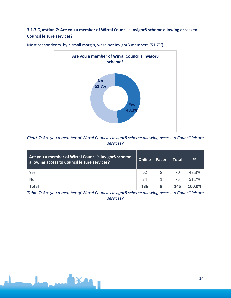#### **3.1.7 Question 7: Are you a member of Wirral Council's Invigor8 scheme allowing access to Council leisure services?**



Most respondents, by a small margin, were not Invigor8 members (51.7%).

*Chart 7: Are you a member of Wirral Council's Invigor8 scheme allowing access to Council leisure services?*

| Are you a member of Wirral Council's Invigor8 scheme<br>allowing access to Council leisure services? | Online | Paper | <b>Total</b> | %      |
|------------------------------------------------------------------------------------------------------|--------|-------|--------------|--------|
| Yes                                                                                                  | 62     | 8     | 70           | 48.3%  |
| No                                                                                                   | 74     |       | 75           | 51.7%  |
| <b>Total</b>                                                                                         | 136    | 9     | 145          | 100.0% |

*Table 7: Are you a member of Wirral Council's Invigor8 scheme allowing access to Council leisure services?*

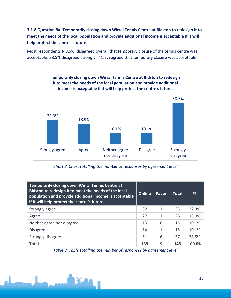**3.1.8 Question 8a: Temporarily closing down Wirral Tennis Centre at Bidston to redesign it to meet the needs of the local population and provide additional income is acceptable if it will help protect the centre's future.**

Most respondents (48.6%) disagreed overall that temporary closure of the tennis centre was acceptable, 38.5% disagreed strongly. 41.2% agreed that temporary closure was acceptable.



*Chart 8: Chart totalling the number of responses by agreement level*

| Temporarily closing down Wirral Tennis Centre at<br>Bidston to redesign it to meet the needs of the local<br>population and provide additional income is acceptable<br>if it will help protect the centre's future. | Online | Paper          | <b>Total</b> | %      |
|---------------------------------------------------------------------------------------------------------------------------------------------------------------------------------------------------------------------|--------|----------------|--------------|--------|
| Strongly agree                                                                                                                                                                                                      | 32     | 1              | 33           | 22.3%  |
| Agree                                                                                                                                                                                                               | 27     | 1              | 28           | 18.9%  |
| Neither agree nor disagree                                                                                                                                                                                          | 15     | $\overline{0}$ | 15           | 10.1%  |
| <b>Disagree</b>                                                                                                                                                                                                     | 14     | 1              | 15           | 10.1%  |
| Strongly disagree                                                                                                                                                                                                   | 51     | 6              | 57           | 38.5%  |
| <b>Total</b>                                                                                                                                                                                                        | 139    | 9              | 148          | 100.0% |

*Table 8: Table totalling the number of responses by agreement level*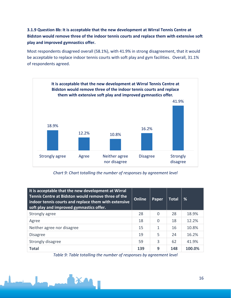#### **3.1.9 Question 8b: It is acceptable that the new development at Wirral Tennis Centre at Bidston would remove three of the indoor tennis courts and replace them with extensive soft play and improved gymnastics offer.**

Most respondents disagreed overall (58.1%), with 41.9% in strong disagreement, that it would be acceptable to replace indoor tennis courts with soft play and gym facilities. Overall, 31.1% of respondents agreed.



*Chart 9: Chart totalling the number of responses by agreement level*

| It is acceptable that the new development at Wirral<br>Tennis Centre at Bidston would remove three of the<br>indoor tennis courts and replace them with extensive<br>soft play and improved gymnastics offer. | Online | Paper    | Total | %      |
|---------------------------------------------------------------------------------------------------------------------------------------------------------------------------------------------------------------|--------|----------|-------|--------|
| Strongly agree                                                                                                                                                                                                | 28     | $\Omega$ | 28    | 18.9%  |
| Agree                                                                                                                                                                                                         | 18     | 0        | 18    | 12.2%  |
| Neither agree nor disagree                                                                                                                                                                                    | 15     | 1        | 16    | 10.8%  |
| <b>Disagree</b>                                                                                                                                                                                               | 19     | 5        | 24    | 16.2%  |
| Strongly disagree                                                                                                                                                                                             | 59     | 3        | 62    | 41.9%  |
| <b>Total</b>                                                                                                                                                                                                  | 139    | q        | 148   | 100.0% |

*Table 9: Table totalling the number of responses by agreement level*

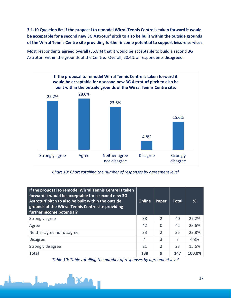**3.1.10 Question 8c: If the proposal to remodel Wirral Tennis Centre is taken forward it would be acceptable for a second new 3G Astroturf pitch to also be built within the outside grounds of the Wirral Tennis Centre site providing further income potential to support leisure services.**

Most respondents agreed overall (55.8%) that it would be acceptable to build a second 3G Astroturf within the grounds of the Centre. Overall, 20.4% of respondents disagreed.



*Chart 10: Chart totalling the number of responses by agreement level*

| If the proposal to remodel Wirral Tennis Centre is taken<br>forward it would be acceptable for a second new 3G<br>Astroturf pitch to also be built within the outside<br>grounds of the Wirral Tennis Centre site providing<br>further income potential? | Online | Paper          | Total | %      |
|----------------------------------------------------------------------------------------------------------------------------------------------------------------------------------------------------------------------------------------------------------|--------|----------------|-------|--------|
| Strongly agree                                                                                                                                                                                                                                           | 38     | $\mathcal{P}$  | 40    | 27.2%  |
| Agree                                                                                                                                                                                                                                                    | 42     | $\overline{0}$ | 42    | 28.6%  |
| Neither agree nor disagree                                                                                                                                                                                                                               | 33     | $\overline{2}$ | 35    | 23.8%  |
| <b>Disagree</b>                                                                                                                                                                                                                                          | 4      | 3              | 7     | 4.8%   |
| Strongly disagree                                                                                                                                                                                                                                        | 21     | $\overline{2}$ | 23    | 15.6%  |
| <b>Total</b>                                                                                                                                                                                                                                             | 138    | 9              | 147   | 100.0% |

*Table 10: Table totalling the number of responses by agreement level*

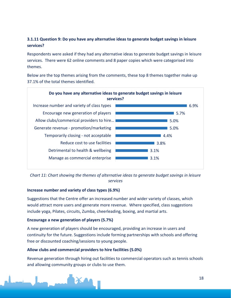#### **3.1.11 Question 9: Do you have any alternative ideas to generate budget savings in leisure services?**

Respondents were asked if they had any alternative ideas to generate budget savings in leisure services. There were 62 online comments and 8 paper copies which were categorised into themes.

Below are the top themes arising from the comments, these top 8 themes together make up 37.1% of the total themes identified.



*Chart 11: Chart showing the themes of alternative ideas to generate budget savings in leisure services*

#### **Increase number and variety of class types (6.9%)**

Suggestions that the Centre offer an increased number and wider variety of classes, which would attract more users and generate more revenue. Where specified, class suggestions include yoga, Pilates, circuits, Zumba, cheerleading, boxing, and martial arts.

#### **Encourage a new generation of players (5.7%)**

A new generation of players should be encouraged, providing an increase in users and continuity for the future. Suggestions include forming partnerships with schools and offering free or discounted coaching/sessions to young people.

#### **Allow clubs and commercial providers to hire facilities (5.0%)**

Revenue generation through hiring out facilities to commercial operators such as tennis schools and allowing community groups or clubs to use them.

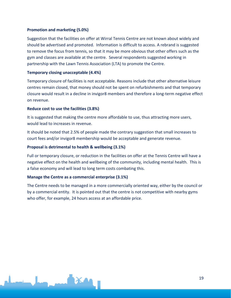#### **Promotion and marketing (5.0%)**

Suggestion that the facilities on offer at Wirral Tennis Centre are not known about widely and should be advertised and promoted. Information is difficult to access. A rebrand is suggested to remove the focus from tennis, so that it may be more obvious that other offers such as the gym and classes are available at the centre. Several respondents suggested working in partnership with the Lawn Tennis Association (LTA) to promote the Centre.

#### **Temporary closing unacceptable (4.4%)**

Temporary closure of facilities is not acceptable. Reasons include that other alternative leisure centres remain closed, that money should not be spent on refurbishments and that temporary closure would result in a decline in invigor8 members and therefore a long-term negative effect on revenue.

#### **Reduce cost to use the facilities (3.8%)**

It is suggested that making the centre more affordable to use, thus attracting more users, would lead to increases in revenue.

It should be noted that 2.5% of people made the contrary suggestion that small increases to court fees and/or invigor8 membership would be acceptable and generate revenue.

#### **Proposal is detrimental to health & wellbeing (3.1%)**

Full or temporary closure, or reduction in the facilities on offer at the Tennis Centre will have a negative effect on the health and wellbeing of the community, including mental health. This is a false economy and will lead to long term costs combating this.

#### **Manage the Centre as a commercial enterprise (3.1%)**

The Centre needs to be managed in a more commercially oriented way, either by the council or by a commercial entity. It is pointed out that the centre is not competitive with nearby gyms who offer, for example, 24 hours access at an affordable price.

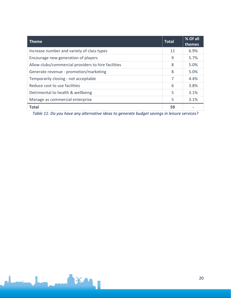| <b>Theme</b>                                        | <b>Total</b> | % Of all<br>themes |
|-----------------------------------------------------|--------------|--------------------|
| Increase number and variety of class types          | 11           | 6.9%               |
| Encourage new generation of players                 | 9            | 5.7%               |
| Allow clubs/commercial providers to hire facilities | 8            | 5.0%               |
| Generate revenue - promotion/marketing              | 8            | 5.0%               |
| Temporarily closing - not acceptable                | 7            | 4.4%               |
| Reduce cost to use facilities                       | 6            | 3.8%               |
| Detrimental to health & wellbeing                   | 5            | 3.1%               |
| Manage as commercial enterprise                     | 5            | 3.1%               |
| <b>Total</b>                                        | 59           |                    |

*Table 11: Do you have any alternative ideas to generate budget savings in leisure services?*

**TAXAL**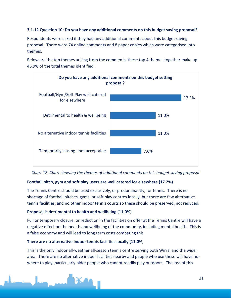#### **3.1.12 Question 10: Do you have any additional comments on this budget saving proposal?**

Respondents were asked if they had any additional comments about this budget saving proposal. There were 74 online comments and 8 paper copies which were categorised into themes.

Below are the top themes arising from the comments, these top 4 themes together make up 46.9% of the total themes identified.



*Chart 12: Chart showing the themes of additional comments on this budget saving proposal*

#### **Football pitch, gym and soft play users are well catered for elsewhere (17.2%)**

The Tennis Centre should be used exclusively, or predominantly, for tennis. There is no shortage of football pitches, gyms, or soft play centres locally, but there are few alternative tennis facilities, and no other indoor tennis courts so these should be preserved, not reduced.

#### **Proposal is detrimental to health and wellbeing (11.0%)**

Full or temporary closure, or reduction in the facilities on offer at the Tennis Centre will have a negative effect on the health and wellbeing of the community, including mental health. This is a false economy and will lead to long term costs combating this.

#### **There are no alternative indoor tennis facilities locally (11.0%)**

This is the only indoor all-weather all-season tennis centre serving both Wirral and the wider area. There are no alternative indoor facilities nearby and people who use these will have nowhere to play, particularly older people who cannot readily play outdoors. The loss of this

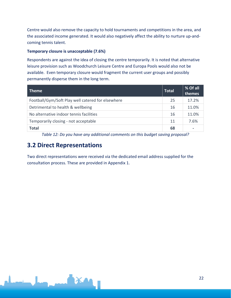Centre would also remove the capacity to hold tournaments and competitions in the area, and the associated income generated. It would also negatively affect the ability to nurture up-andcoming tennis talent.

#### **Temporary closure is unacceptable (7.6%)**

Respondents are against the idea of closing the centre temporarily. It is noted that alternative leisure provision such as Woodchurch Leisure Centre and Europa Pools would also not be available. Even temporary closure would fragment the current user groups and possibly permanently disperse them in the long term.

| <b>Theme</b>                                      | <b>Total</b> | % Of all<br>themes |
|---------------------------------------------------|--------------|--------------------|
| Football/Gym/Soft Play well catered for elsewhere | 25           | 17.2%              |
| Detrimental to health & wellbeing                 | 16           | 11.0%              |
| No alternative indoor tennis facilities           | 16           | 11.0%              |
| Temporarily closing - not acceptable              |              | 7.6%               |
| <b>Total</b>                                      | 68           | -                  |

*Table 12: Do you have any additional comments on this budget saving proposal?*

### <span id="page-21-0"></span>**3.2 Direct Representations**

Two direct representations were received via the dedicated email address supplied for the consultation process. These are provided in Appendix 1.

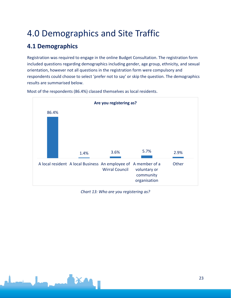## <span id="page-22-0"></span>4.0 Demographics and Site Traffic

## <span id="page-22-1"></span>**4.1 Demographics**

Registration was required to engage in the online Budget Consultation. The registration form included questions regarding demographics including gender, age group, ethnicity, and sexual orientation, however not all questions in the registration form were compulsory and respondents could choose to select 'prefer not to say' or skip the question. The demographics results are summarised below.



Most of the respondents (86.4%) classed themselves as local residents.

*Chart 13: Who are you registering as?*

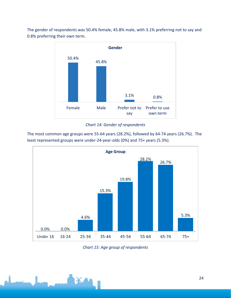The gender of respondents was 50.4% female, 45.8% male, with 3.1% preferring not to say and 0.8% preferring their own term.



*Chart 14: Gender of respondents*

The most common age groups were 55-64 years (28.2%), followed by 64-74 years (26.7%). The least represented groups were under-24-year-olds (0%) and 75+ years (5.3%).



*Chart 15: Age group of respondents*

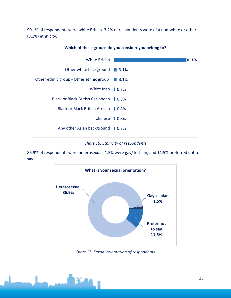90.1% of respondents were white British. 3.2% of respondents were of a non-white or other (3.1%) ethnicity.



*Chart 16: Ethnicity of respondents*

86.9% of respondents were heterosexual, 1.5% were gay/ lesbian, and 11.5% preferred not to say.



*Chart 17: Sexual orientation of respondents*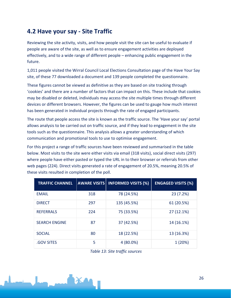## <span id="page-25-0"></span>**4.2 Have your say - Site Traffic**

Reviewing the site activity, visits, and how people visit the site can be useful to evaluate if people are aware of the site, as well as to ensure engagement activities are deployed effectively, and to a wide range of different people – enhancing public engagement in the future.

1,011 people visited the Wirral Council Local Elections Consultation page of the Have Your Say site, of these 77 downloaded a document and 139 people completed the questionnaire.

These figures cannot be viewed as definitive as they are based on site tracking through 'cookies' and there are a number of factors that can impact on this. These include that cookies may be disabled or deleted, individuals may access the site multiple times through different devices or different browsers. However, the figures can be used to gauge how much interest has been generated in individual projects through the rate of engaged participants.

The route that people access the site is known as the traffic source. The 'Have your say' portal allows analysis to be carried out on traffic source, and if they lead to engagement in the site tools such as the questionnaire. This analysis allows a greater understanding of which communication and promotional tools to use to optimise engagement.

For this project a range of traffic sources have been reviewed and summarised in the table below. Most visits to the site were either visits via email (318 visits), social direct visits (297) where people have either pasted or typed the URL in to their browser or referrals from other web pages (224). Direct visits generated a rate of engagement of 20.5%, meaning 20.5% of these visits resulted in completion of the poll.

| <b>TRAFFIC CHANNEL</b> | <b>AWARE VISITS</b> | <b>INFORMED VISITS (%)</b> | <b>ENGAGED VISITS (%)</b> |
|------------------------|---------------------|----------------------------|---------------------------|
| <b>EMAIL</b>           | 318                 | 78 (24.5%)                 | 23(7.2%)                  |
| <b>DIRECT</b>          | 297                 | 135 (45.5%)                | 61 (20.5%)                |
| <b>REFERRALS</b>       | 224                 | 75 (33.5%)                 | 27 (12.1%)                |
| <b>SEARCH ENGINE</b>   | 87                  | 37 (42.5%)                 | 14 (16.1%)                |
| <b>SOCIAL</b>          | 80                  | 18 (22.5%)                 | 13 (16.3%)                |
| <b>GOV SITES</b>       | 5                   | $4(80.0\%)$                | 1(20%)                    |

*Table 13: Site traffic sources*